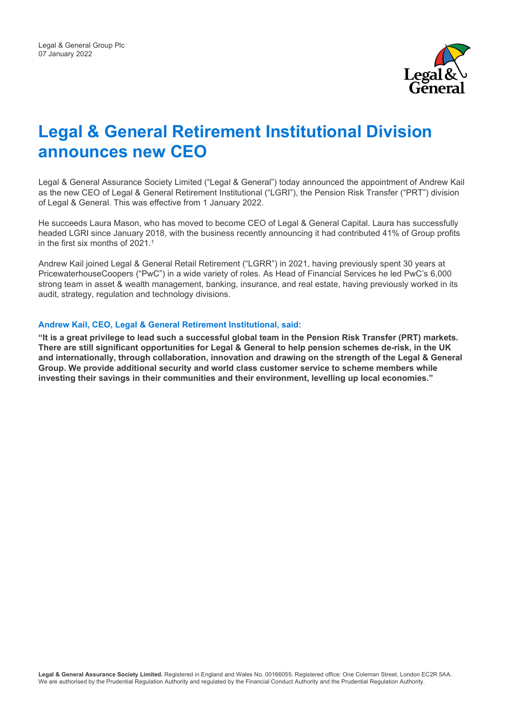

# **Legal & General Retirement Institutional Division announces new CEO**

Legal & General Assurance Society Limited ("Legal & General") today announced the appointment of Andrew Kail as the new CEO of Legal & General Retirement Institutional ("LGRI"), the Pension Risk Transfer ("PRT") division of Legal & General. This was effective from 1 January 2022.

He succeeds Laura Mason, who has moved to become CEO of Legal & General Capital. Laura has successfully headed LGRI since January 2018, with the business recently announcing it had contributed 41% of Group profits in the first six months of 2021. 1

Andrew Kail joined Legal & General Retail Retirement ("LGRR") in 2021, having previously spent 30 years at PricewaterhouseCoopers ("PwC") in a wide variety of roles. As Head of Financial Services he led PwC's 6,000 strong team in asset & wealth management, banking, insurance, and real estate, having previously worked in its audit, strategy, regulation and technology divisions.

#### **Andrew Kail, CEO, Legal & General Retirement Institutional, said:**

**"It is a great privilege to lead such a successful global team in the Pension Risk Transfer (PRT) markets. There are still significant opportunities for Legal & General to help pension schemes de-risk, in the UK and internationally, through collaboration, innovation and drawing on the strength of the Legal & General Group. We provide additional security and world class customer service to scheme members while investing their savings in their communities and their environment, levelling up local economies."**